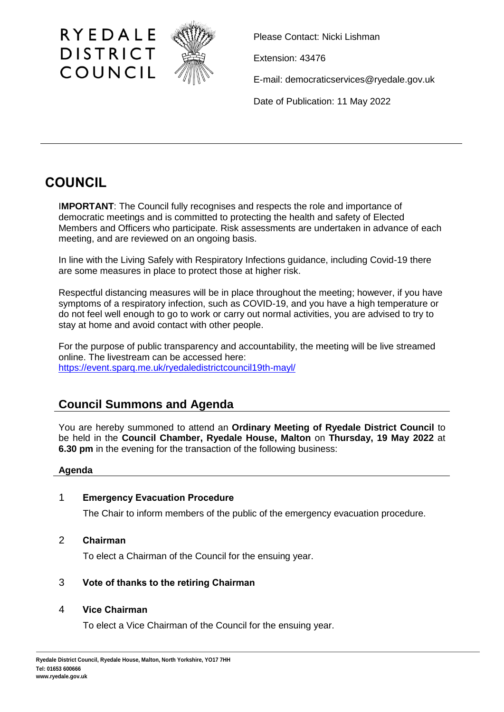

Please Contact: Nicki Lishman

Extension: 43476

E-mail: democraticservices@ryedale.gov.uk

Date of Publication: 11 May 2022

# **COUNCIL**

I**MPORTANT**: The Council fully recognises and respects the role and importance of democratic meetings and is committed to protecting the health and safety of Elected Members and Officers who participate. Risk assessments are undertaken in advance of each meeting, and are reviewed on an ongoing basis.

In line with the Living Safely with Respiratory Infections guidance, including Covid-19 there are some measures in place to protect those at higher risk.

Respectful distancing measures will be in place throughout the meeting; however, if you have symptoms of a respiratory infection, such as COVID-19, and you have a high temperature or do not feel well enough to go to work or carry out normal activities, you are advised to try to stay at home and avoid contact with other people.

For the purpose of public transparency and accountability, the meeting will be live streamed online. The livestream can be accessed here: https://event.sparq.me.uk/ryedaledistrictcouncil19th-mayl/

# **Council Summons and Agenda**

You are hereby summoned to attend an **Ordinary Meeting of Ryedale District Council** to be held in the **Council Chamber, Ryedale House, Malton** on **Thursday, 19 May 2022** at **6.30 pm** in the evening for the transaction of the following business:

# **Agenda**

# 1 **Emergency Evacuation Procedure**

The Chair to inform members of the public of the emergency evacuation procedure.

2 **Chairman**

To elect a Chairman of the Council for the ensuing year.

# 3 **Vote of thanks to the retiring Chairman**

# 4 **Vice Chairman**

To elect a Vice Chairman of the Council for the ensuing year.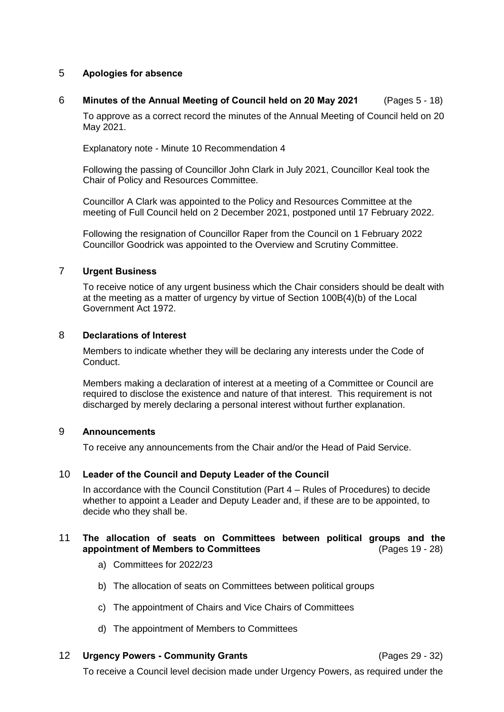### 5 **Apologies for absence**

### 6 **Minutes of the Annual Meeting of Council held on 20 May 2021** (Pages 5 - 18)

To approve as a correct record the minutes of the Annual Meeting of Council held on 20 May 2021.

Explanatory note - Minute 10 Recommendation 4

Following the passing of Councillor John Clark in July 2021, Councillor Keal took the Chair of Policy and Resources Committee.

Councillor A Clark was appointed to the Policy and Resources Committee at the meeting of Full Council held on 2 December 2021, postponed until 17 February 2022.

Following the resignation of Councillor Raper from the Council on 1 February 2022 Councillor Goodrick was appointed to the Overview and Scrutiny Committee.

#### 7 **Urgent Business**

To receive notice of any urgent business which the Chair considers should be dealt with at the meeting as a matter of urgency by virtue of Section 100B(4)(b) of the Local Government Act 1972.

#### 8 **Declarations of Interest**

Members to indicate whether they will be declaring any interests under the Code of Conduct.

Members making a declaration of interest at a meeting of a Committee or Council are required to disclose the existence and nature of that interest. This requirement is not discharged by merely declaring a personal interest without further explanation.

#### 9 **Announcements**

To receive any announcements from the Chair and/or the Head of Paid Service.

#### 10 **Leader of the Council and Deputy Leader of the Council**

In accordance with the Council Constitution (Part 4 – Rules of Procedures) to decide whether to appoint a Leader and Deputy Leader and, if these are to be appointed, to decide who they shall be.

#### 11 **The allocation of seats on Committees between political groups and the appointment of Members to Committees** (Pages 19 - 28)

- a) Committees for 2022/23
- b) The allocation of seats on Committees between political groups
- c) The appointment of Chairs and Vice Chairs of Committees
- d) The appointment of Members to Committees
- 12 **Urgency Powers - Community Grants** (Pages 29 32)

[To receive a Council level decision made under Urgency Powers, as required under the](https://democracy.ryedale.gov.uk/ieListDocuments.aspx?CId=114&MID=3452#AI25559)